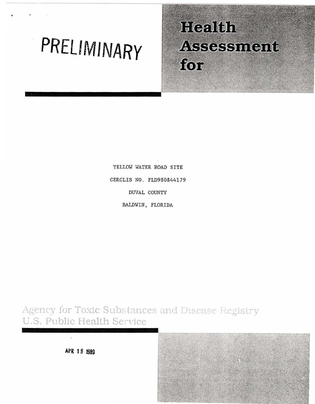# PRELIMINARY

# Health **Assessment** for

YELLOW WATER ROAD SITE CERCLIS NO. FLD980844179 **DUVAL COUNTY** BALDWIN, FLORIDA

Agency for Toxic Substances and Disease Registry U.S. Public Health Service



APR 19 1989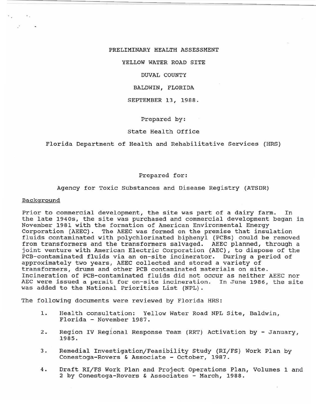# PRELIMINARY HEALTH ASSESSMENT

YELLOW WATER ROAD SITE

# DUVAL COUNTY

# BALDWIN, FLORIDA

#### SEPTEMBER 13, 1988 .

# Prepared by:

# state Health Office

#### Florida Department of Health and Rehabilitative Services (HRS)

#### Prepared for:

#### Agency for Toxic Substances and Disease Registry (ATSDR)

#### Background

Prior to commercial development, the site was part of a dairy farm. In the late 19405, the site was purchased and commercial development began in November 1981 with the formation of American Environmental Energy Corporation (AEEC). The AEEC was formed on the premise that insulation fluids contaminated with polychlorinated biphenyl (PCBs) could be removed from transformers and the transformers salvaged. AEEC planned, through a joint venture with American Electric Corporation (AEC), to dispose of the PCB-contaminated fluids via an on-site incinerator. During a period of approximately two years, AEEC collected and stored a variety of transformers, drums and other PCB contaminated materials on site. Incineration of PCB-contaminated fluids did not occur as neither AEEC nor AEC were issued a permit for on-site incineration. In June 1986, the site was added to the National Priorities List (NPL) .

The following documents were reviewed by Florida HRS:

- 1. Health consultation: Yellow Water Road NPL Site, Baldwin, Florida - November 1987.
- 2. Region IV Regional Response Team (RRT) Activation by January, 1985.
- 3. Remedial Investigation/Feasibility Study (RI/FS) Work Plan by Conestoga-Rovers & Associate - October, 1987.
- 4. Draft RI/FS Work Plan and Project operations Plan, Volumes 1 and 2 by Conestoga-Rovers & Associates - March, 1988.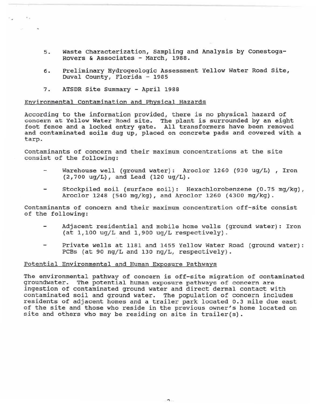- 5. Waste Characterization, Sampling and Analysis by Conestoga-Rovers & Associates - March, 1988.
- 6. Preliminary Hydrogeologic Assessment Yellow Water Road Site, Duval County, Florida - 1985
- 7. ATSDR Site Summary April 1988

 $\cdot$  .

# Environmental contamination and Physical Hazards

According to the information provided, there is no physical hazard of concern at Yellow Water Road site. The plant is surrounded by an eight foot fence and a locked entry gate. All transformers have been removed and contaminated soils dug up, placed on concrete pads and covered with a tarp.

contaminants of concern and their maximum concentrations at the site consist of the following:

- Warehouse well (ground water): Aroclor 1260 (930 ug/L), Iron  $(2,700 \text{ ug/L})$ , and Lead  $(120 \text{ ug/L})$ .
- Stockpiled soil (surface soil): Hexachlorobenzene (0.75 mg/kg), Aroclor 1248 (540 mg/kg), and Aroclor 1260 (4300 mg/kg).

Contaminants of concern and their maximum concentration off-site consist of the following:

- Adjacent residential and mobile home wells (ground water): Iron (at 1,100 ug/L and 1,900 ug/L respectively).
- Private wells at 1181 and 1455 Yellow Water Road (ground water) : PCBs (at 90 ng/L and 130 ng/L, respectively).

# Potential Environmental and Human Exposure Pathways

The environmental pathway of concern is off-site migration of contaminated groundwater. The potential human exposure pathways of concern are ingestion of contaminated ground water and direct dermal contact with contaminated soil and ground water. The population of concern includes residents of adjacent homes and a trailer park located 0.3 mile due east of the site and those who reside in the previous owner 's home located on site and others who may be residing on site in trailer(s).